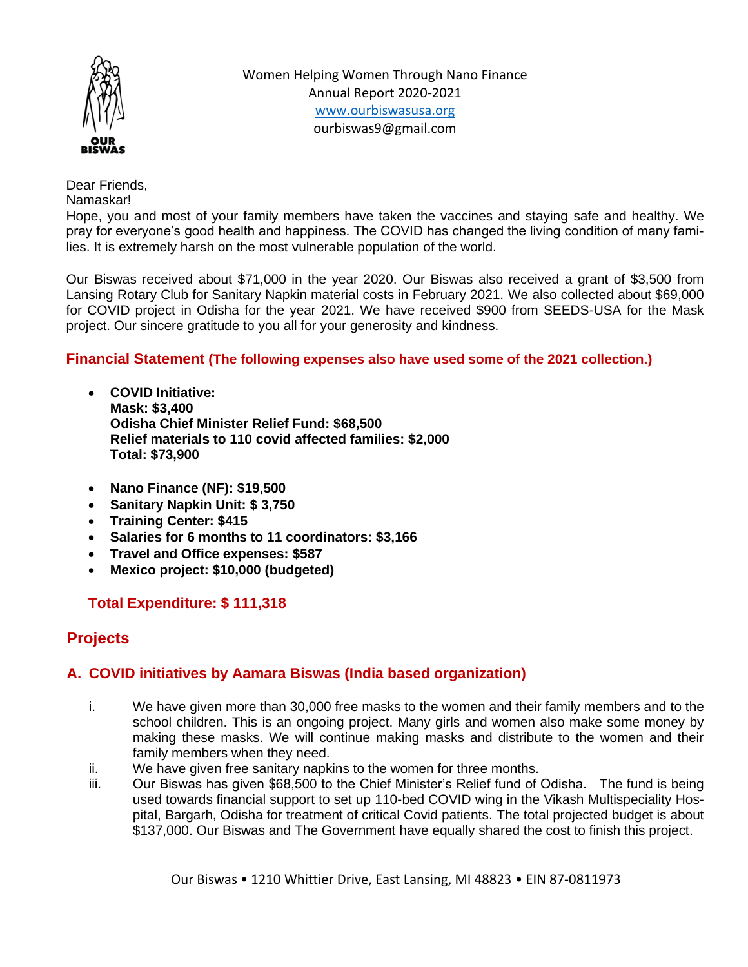

Women Helping Women Through Nano Finance Annual Report 2020-2021 [www.ourbiswasusa.org](http://www.ourbiswasus.org/) ourbiswas9@gmail.com

Dear Friends,

Namaskar!

Hope, you and most of your family members have taken the vaccines and staying safe and healthy. We pray for everyone's good health and happiness. The COVID has changed the living condition of many families. It is extremely harsh on the most vulnerable population of the world.

Our Biswas received about \$71,000 in the year 2020. Our Biswas also received a grant of \$3,500 from Lansing Rotary Club for Sanitary Napkin material costs in February 2021. We also collected about \$69,000 for COVID project in Odisha for the year 2021. We have received \$900 from SEEDS-USA for the Mask project. Our sincere gratitude to you all for your generosity and kindness.

## **Financial Statement (The following expenses also have used some of the 2021 collection.)**

- **COVID Initiative: Mask: \$3,400 Odisha Chief Minister Relief Fund: \$68,500 Relief materials to 110 covid affected families: \$2,000 Total: \$73,900**
- **Nano Finance (NF): \$19,500**
- **Sanitary Napkin Unit: \$ 3,750**
- **Training Center: \$415**
- **Salaries for 6 months to 11 coordinators: \$3,166**
- **Travel and Office expenses: \$587**
- **Mexico project: \$10,000 (budgeted)**

**Total Expenditure: \$ 111,318**

# **Projects**

# **A. COVID initiatives by Aamara Biswas (India based organization)**

- i. We have given more than 30,000 free masks to the women and their family members and to the school children. This is an ongoing project. Many girls and women also make some money by making these masks. We will continue making masks and distribute to the women and their family members when they need.
- ii. We have given free sanitary napkins to the women for three months.
- iii. Our Biswas has given \$68,500 to the Chief Minister's Relief fund of Odisha. The fund is being used towards financial support to set up 110-bed COVID wing in the Vikash Multispeciality Hospital, Bargarh, Odisha for treatment of critical Covid patients. The total projected budget is about \$137,000. Our Biswas and The Government have equally shared the cost to finish this project.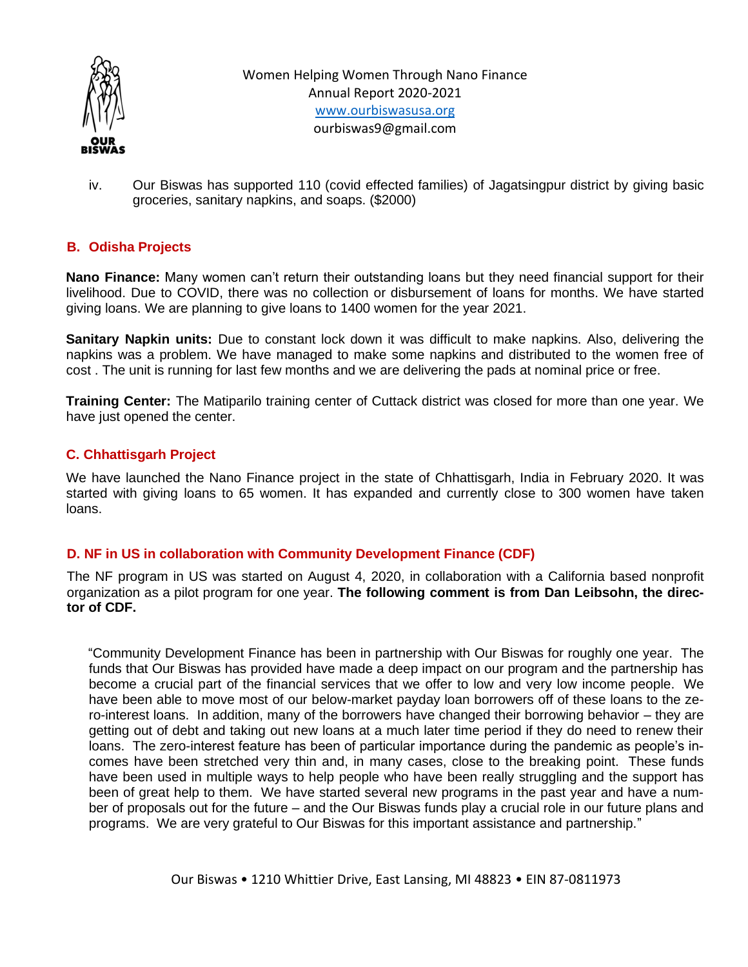

Women Helping Women Through Nano Finance Annual Report 2020-2021 [www.ourbiswasusa.org](http://www.ourbiswasus.org/) ourbiswas9@gmail.com

iv. Our Biswas has supported 110 (covid effected families) of Jagatsingpur district by giving basic groceries, sanitary napkins, and soaps. (\$2000)

### **B. Odisha Projects**

**Nano Finance:** Many women can't return their outstanding loans but they need financial support for their livelihood. Due to COVID, there was no collection or disbursement of loans for months. We have started giving loans. We are planning to give loans to 1400 women for the year 2021.

**Sanitary Napkin units:** Due to constant lock down it was difficult to make napkins. Also, delivering the napkins was a problem. We have managed to make some napkins and distributed to the women free of cost . The unit is running for last few months and we are delivering the pads at nominal price or free.

**Training Center:** The Matiparilo training center of Cuttack district was closed for more than one year. We have just opened the center.

#### **C. Chhattisgarh Project**

We have launched the Nano Finance project in the state of Chhattisgarh, India in February 2020. It was started with giving loans to 65 women. It has expanded and currently close to 300 women have taken loans.

#### **D. NF in US in collaboration with Community Development Finance (CDF)**

The NF program in US was started on August 4, 2020, in collaboration with a California based nonprofit organization as a pilot program for one year. **The following comment is from Dan Leibsohn, the director of CDF.**

"Community Development Finance has been in partnership with Our Biswas for roughly one year. The funds that Our Biswas has provided have made a deep impact on our program and the partnership has become a crucial part of the financial services that we offer to low and very low income people. We have been able to move most of our below-market payday loan borrowers off of these loans to the zero-interest loans. In addition, many of the borrowers have changed their borrowing behavior – they are getting out of debt and taking out new loans at a much later time period if they do need to renew their loans. The zero-interest feature has been of particular importance during the pandemic as people's incomes have been stretched very thin and, in many cases, close to the breaking point. These funds have been used in multiple ways to help people who have been really struggling and the support has been of great help to them. We have started several new programs in the past year and have a number of proposals out for the future – and the Our Biswas funds play a crucial role in our future plans and programs. We are very grateful to Our Biswas for this important assistance and partnership."